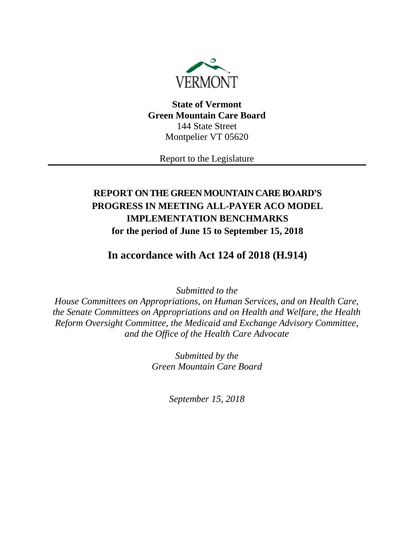

**State of Vermont Green Mountain Care Board** 144 State Street Montpelier VT 05620

Report to the Legislature

# **REPORT ON THE GREEN MOUNTAIN CARE BOARD'S PROGRESS IN MEETING ALL-PAYER ACO MODEL IMPLEMENTATION BENCHMARKS for the period of June 15 to September 15, 2018**

**In accordance with Act 124 of 2018 (H.914)**

*Submitted to the*

*House Committees on Appropriations, on Human Services, and on Health Care, the Senate Committees on Appropriations and on Health and Welfare, the Health Reform Oversight Committee, the Medicaid and Exchange Advisory Committee, and the Office of the Health Care Advocate*

> *Submitted by the Green Mountain Care Board*

> > *September 15, 2018*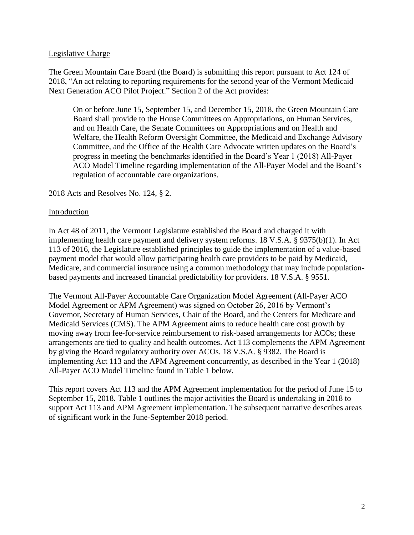#### Legislative Charge

The Green Mountain Care Board (the Board) is submitting this report pursuant to Act 124 of 2018, "An act relating to reporting requirements for the second year of the Vermont Medicaid Next Generation ACO Pilot Project." Section 2 of the Act provides:

On or before June 15, September 15, and December 15, 2018, the Green Mountain Care Board shall provide to the House Committees on Appropriations, on Human Services, and on Health Care, the Senate Committees on Appropriations and on Health and Welfare, the Health Reform Oversight Committee, the Medicaid and Exchange Advisory Committee, and the Office of the Health Care Advocate written updates on the Board's progress in meeting the benchmarks identified in the Board's Year 1 (2018) All-Payer ACO Model Timeline regarding implementation of the All-Payer Model and the Board's regulation of accountable care organizations.

#### 2018 Acts and Resolves No. 124, § 2.

#### Introduction

In Act 48 of 2011, the Vermont Legislature established the Board and charged it with implementing health care payment and delivery system reforms. 18 V.S.A. § 9375(b)(1). In Act 113 of 2016, the Legislature established principles to guide the implementation of a value-based payment model that would allow participating health care providers to be paid by Medicaid, Medicare, and commercial insurance using a common methodology that may include populationbased payments and increased financial predictability for providers. 18 V.S.A. § 9551.

The Vermont All-Payer Accountable Care Organization Model Agreement (All-Payer ACO Model Agreement or APM Agreement) was signed on October 26, 2016 by Vermont's Governor, Secretary of Human Services, Chair of the Board, and the Centers for Medicare and Medicaid Services (CMS). The APM Agreement aims to reduce health care cost growth by moving away from fee-for-service reimbursement to risk-based arrangements for ACOs; these arrangements are tied to quality and health outcomes. Act 113 complements the APM Agreement by giving the Board regulatory authority over ACOs. 18 V.S.A. § 9382. The Board is implementing Act 113 and the APM Agreement concurrently, as described in the Year 1 (2018) All-Payer ACO Model Timeline found in Table 1 below.

This report covers Act 113 and the APM Agreement implementation for the period of June 15 to September 15, 2018. Table 1 outlines the major activities the Board is undertaking in 2018 to support Act 113 and APM Agreement implementation. The subsequent narrative describes areas of significant work in the June-September 2018 period.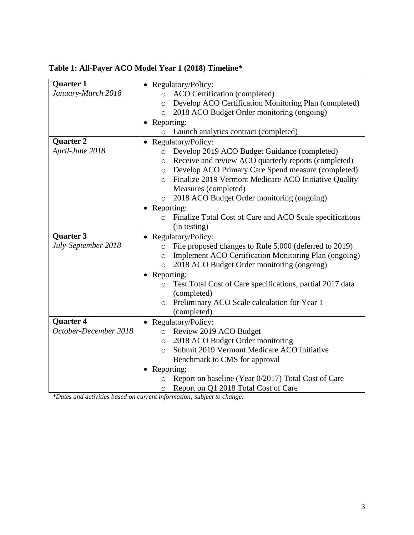# **Table 1: All-Payer ACO Model Year 1 (2018) Timeline\***

| Quarter 1             | • Regulatory/Policy:                                                 |  |  |  |
|-----------------------|----------------------------------------------------------------------|--|--|--|
| January-March 2018    | ACO Certification (completed)<br>$\circ$                             |  |  |  |
|                       | Develop ACO Certification Monitoring Plan (completed)<br>$\circ$     |  |  |  |
|                       | 2018 ACO Budget Order monitoring (ongoing)<br>$\circ$                |  |  |  |
|                       | • Reporting:                                                         |  |  |  |
|                       | Launch analytics contract (completed)                                |  |  |  |
| <b>Quarter 2</b>      | Regulatory/Policy:                                                   |  |  |  |
| April-June 2018       | Develop 2019 ACO Budget Guidance (completed)<br>$\circ$              |  |  |  |
|                       | Receive and review ACO quarterly reports (completed)<br>$\circ$      |  |  |  |
|                       | Develop ACO Primary Care Spend measure (completed)<br>$\circ$        |  |  |  |
|                       | Finalize 2019 Vermont Medicare ACO Initiative Quality<br>$\circ$     |  |  |  |
|                       | Measures (completed)                                                 |  |  |  |
|                       | 2018 ACO Budget Order monitoring (ongoing)<br>$\circ$                |  |  |  |
|                       | • Reporting:                                                         |  |  |  |
|                       | Finalize Total Cost of Care and ACO Scale specifications<br>$\Omega$ |  |  |  |
|                       | (in testing)                                                         |  |  |  |
| Quarter 3             | • Regulatory/Policy:                                                 |  |  |  |
| July-September 2018   | File proposed changes to Rule 5.000 (deferred to 2019)<br>$\Omega$   |  |  |  |
|                       | Implement ACO Certification Monitoring Plan (ongoing)<br>$\circ$     |  |  |  |
|                       | 2018 ACO Budget Order monitoring (ongoing)<br>$\circ$                |  |  |  |
|                       | Reporting:                                                           |  |  |  |
|                       | Test Total Cost of Care specifications, partial 2017 data<br>$\circ$ |  |  |  |
|                       | (completed)                                                          |  |  |  |
|                       | Preliminary ACO Scale calculation for Year 1<br>$\circ$              |  |  |  |
|                       | (completed)                                                          |  |  |  |
| <b>Quarter 4</b>      | • Regulatory/Policy:                                                 |  |  |  |
| October-December 2018 | Review 2019 ACO Budget<br>$\circ$                                    |  |  |  |
|                       | 2018 ACO Budget Order monitoring<br>$\circ$                          |  |  |  |
|                       | Submit 2019 Vermont Medicare ACO Initiative<br>$\circ$               |  |  |  |
|                       | Benchmark to CMS for approval                                        |  |  |  |
|                       | Reporting:                                                           |  |  |  |
|                       | Report on baseline (Year 0/2017) Total Cost of Care<br>$\circ$       |  |  |  |
|                       | Report on Q1 2018 Total Cost of Care<br>O                            |  |  |  |

*\*Dates and activities based on current information; subject to change.*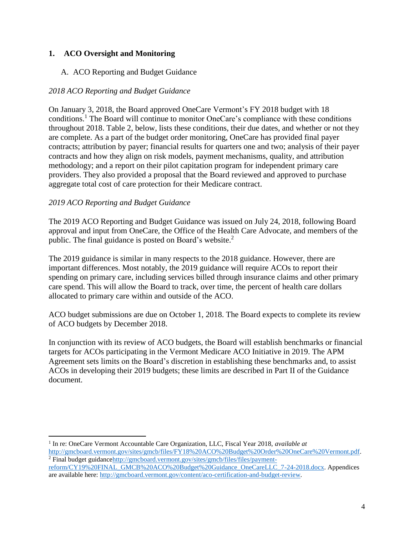### **1. ACO Oversight and Monitoring**

### A. ACO Reporting and Budget Guidance

### *2018 ACO Reporting and Budget Guidance*

On January 3, 2018, the Board approved OneCare Vermont's FY 2018 budget with 18 conditions.<sup>1</sup> The Board will continue to monitor OneCare's compliance with these conditions throughout 2018. Table 2, below, lists these conditions, their due dates, and whether or not they are complete. As a part of the budget order monitoring, OneCare has provided final payer contracts; attribution by payer; financial results for quarters one and two; analysis of their payer contracts and how they align on risk models, payment mechanisms, quality, and attribution methodology; and a report on their pilot capitation program for independent primary care providers. They also provided a proposal that the Board reviewed and approved to purchase aggregate total cost of care protection for their Medicare contract.

#### *2019 ACO Reporting and Budget Guidance*

The 2019 ACO Reporting and Budget Guidance was issued on July 24, 2018, following Board approval and input from OneCare, the Office of the Health Care Advocate, and members of the public. The final guidance is posted on Board's website.<sup>2</sup>

The 2019 guidance is similar in many respects to the 2018 guidance. However, there are important differences. Most notably, the 2019 guidance will require ACOs to report their spending on primary care, including services billed through insurance claims and other primary care spend. This will allow the Board to track, over time, the percent of health care dollars allocated to primary care within and outside of the ACO.

ACO budget submissions are due on October 1, 2018. The Board expects to complete its review of ACO budgets by December 2018.

In conjunction with its review of ACO budgets, the Board will establish benchmarks or financial targets for ACOs participating in the Vermont Medicare ACO Initiative in 2019. The APM Agreement sets limits on the Board's discretion in establishing these benchmarks and, to assist ACOs in developing their 2019 budgets; these limits are described in Part II of the Guidance document.

 $\overline{\phantom{a}}$ <sup>1</sup> In re: OneCare Vermont Accountable Care Organization, LLC, Fiscal Year 2018, *available at* [http://gmcboard.vermont.gov/sites/gmcb/files/FY18%20ACO%20Budget%20Order%20OneCare%20Vermont.pdf.](http://gmcboard.vermont.gov/sites/gmcb/files/FY18%20ACO%20Budget%20Order%20OneCare%20Vermont.pdf) <sup>2</sup> Final budget guidanc[ehttp://gmcboard.vermont.gov/sites/gmcb/files/files/payment-](http://gmcboard.vermont.gov/sites/gmcb/files/files/payment-reform/CY19%20FINAL_GMCB%20ACO%20Budget%20Guidance_OneCareLLC_7-24-2018.docx)

[reform/CY19%20FINAL\\_GMCB%20ACO%20Budget%20Guidance\\_OneCareLLC\\_7-24-2018.docx.](http://gmcboard.vermont.gov/sites/gmcb/files/files/payment-reform/CY19%20FINAL_GMCB%20ACO%20Budget%20Guidance_OneCareLLC_7-24-2018.docx) Appendices are available here: [http://gmcboard.vermont.gov/content/aco-certification-and-budget-review.](http://gmcboard.vermont.gov/content/aco-certification-and-budget-review)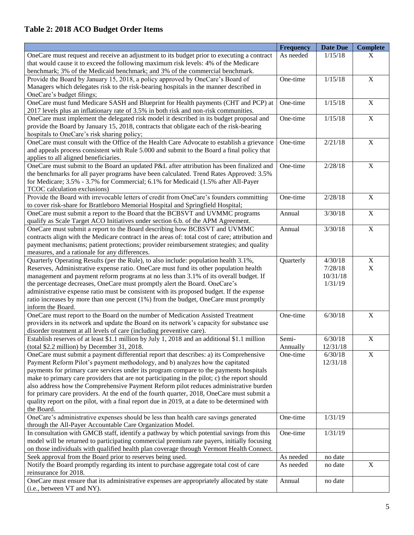# **Table 2: 2018 ACO Budget Order Items**

|                                                                                                 | <b>Frequency</b> | <b>Date Due</b> | <b>Complete</b> |
|-------------------------------------------------------------------------------------------------|------------------|-----------------|-----------------|
| OneCare must request and receive an adjustment to its budget prior to executing a contract      | As needed        | 1/15/18         | X               |
| that would cause it to exceed the following maximum risk levels: 4% of the Medicare             |                  |                 |                 |
| benchmark; 3% of the Medicaid benchmark; and 3% of the commercial benchmark.                    |                  |                 |                 |
| Provide the Board by January 15, 2018, a policy approved by OneCare's Board of                  | One-time         | 1/15/18         | $\overline{X}$  |
| Managers which delegates risk to the risk-bearing hospitals in the manner described in          |                  |                 |                 |
| OneCare's budget filings;                                                                       |                  |                 |                 |
| OneCare must fund Medicare SASH and Blueprint for Health payments (CHT and PCP) at              | One-time         | 1/15/18         | $\mathbf X$     |
| 2017 levels plus an inflationary rate of 3.5% in both risk and non-risk communities.            |                  |                 |                 |
| OneCare must implement the delegated risk model it described in its budget proposal and         | One-time         | 1/15/18         | $\mathbf X$     |
| provide the Board by January 15, 2018, contracts that obligate each of the risk-bearing         |                  |                 |                 |
| hospitals to OneCare's risk sharing policy;                                                     |                  |                 |                 |
| OneCare must consult with the Office of the Health Care Advocate to establish a grievance       | One-time         | 2/21/18         | $\mathbf X$     |
| and appeals process consistent with Rule 5.000 and submit to the Board a final policy that      |                  |                 |                 |
| applies to all aligned beneficiaries.                                                           |                  |                 |                 |
| OneCare must submit to the Board an updated P&L after attribution has been finalized and        | One-time         | 2/28/18         | $\mathbf X$     |
| the benchmarks for all payer programs have been calculated. Trend Rates Approved: 3.5%          |                  |                 |                 |
| for Medicare; 3.5% - 3.7% for Commercial; 6.1% for Medicaid (1.5% after All-Payer               |                  |                 |                 |
| TCOC calculation exclusions)                                                                    |                  |                 |                 |
| Provide the Board with irrevocable letters of credit from OneCare's founders committing         | One-time         | 2/28/18         | $\mathbf X$     |
| to cover risk-share for Brattleboro Memorial Hospital and Springfield Hospital;                 |                  |                 |                 |
| OneCare must submit a report to the Board that the BCBSVT and UVMMC programs                    | Annual           | 3/30/18         | $\mathbf X$     |
| qualify as Scale Target ACO Initiatives under section 6.b. of the APM Agreement.                |                  |                 |                 |
| OneCare must submit a report to the Board describing how BCBSVT and UVMMC                       | Annual           | 3/30/18         | $\mathbf X$     |
| contracts align with the Medicare contract in the areas of: total cost of care; attribution and |                  |                 |                 |
| payment mechanisms; patient protections; provider reimbursement strategies; and quality         |                  |                 |                 |
| measures, and a rationale for any differences.                                                  |                  |                 |                 |
| Quarterly Operating Results (per the Rule), to also include: population health 3.1%,            | Quarterly        | 4/30/18         | $\mathbf X$     |
| Reserves, Administrative expense ratio. OneCare must fund its other population health           |                  | 7/28/18         | X               |
| management and payment reform programs at no less than 3.1% of its overall budget. If           |                  | 10/31/18        |                 |
| the percentage decreases, OneCare must promptly alert the Board. OneCare's                      |                  | 1/31/19         |                 |
| administrative expense ratio must be consistent with its proposed budget. If the expense        |                  |                 |                 |
| ratio increases by more than one percent (1%) from the budget, OneCare must promptly            |                  |                 |                 |
| inform the Board.                                                                               |                  |                 |                 |
| OneCare must report to the Board on the number of Medication Assisted Treatment                 | One-time         | 6/30/18         | $\mathbf X$     |
| providers in its network and update the Board on its network's capacity for substance use       |                  |                 |                 |
| disorder treatment at all levels of care (including preventive care).                           |                  |                 |                 |
| Establish reserves of at least \$1.1 million by July 1, 2018 and an additional \$1.1 million    | Semi-            | 6/30/18         | $\mathbf X$     |
| (total \$2.2 million) by December 31, 2018.                                                     | Annually         | 12/31/18        |                 |
| OneCare must submit a payment differential report that describes: a) its Comprehensive          | One-time         | 6/30/18         | $\overline{X}$  |
| Payment Reform Pilot's payment methodology, and b) analyzes how the capitated                   |                  | 12/31/18        |                 |
| payments for primary care services under its program compare to the payments hospitals          |                  |                 |                 |
| make to primary care providers that are not participating in the pilot; c) the report should    |                  |                 |                 |
| also address how the Comprehensive Payment Reform pilot reduces administrative burden           |                  |                 |                 |
| for primary care providers. At the end of the fourth quarter, 2018, OneCare must submit a       |                  |                 |                 |
| quality report on the pilot, with a final report due in 2019, at a date to be determined with   |                  |                 |                 |
| the Board.                                                                                      |                  |                 |                 |
| OneCare's administrative expenses should be less than health care savings generated             | One-time         | 1/31/19         |                 |
| through the All-Payer Accountable Care Organization Model.                                      |                  |                 |                 |
| In consultation with GMCB staff, identify a pathway by which potential savings from this        | One-time         | 1/31/19         |                 |
| model will be returned to participating commercial premium rate payers, initially focusing      |                  |                 |                 |
| on those individuals with qualified health plan coverage through Vermont Health Connect.        |                  |                 |                 |
| Seek approval from the Board prior to reserves being used.                                      | As needed        | no date         |                 |
| Notify the Board promptly regarding its intent to purchase aggregate total cost of care         | As needed        | no date         | $\mathbf X$     |
| reinsurance for 2018.                                                                           |                  |                 |                 |
| OneCare must ensure that its administrative expenses are appropriately allocated by state       | Annual           | no date         |                 |
| (i.e., between VT and NY).                                                                      |                  |                 |                 |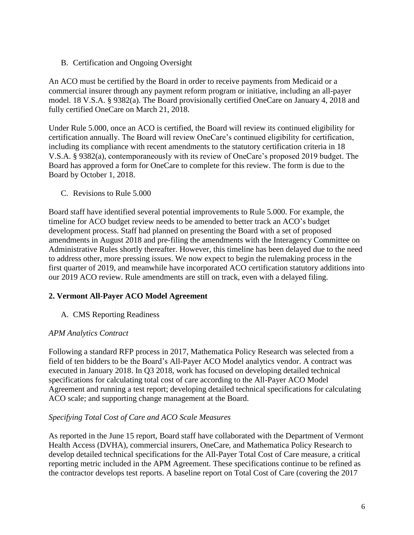B. Certification and Ongoing Oversight

An ACO must be certified by the Board in order to receive payments from Medicaid or a commercial insurer through any payment reform program or initiative, including an all-payer model. 18 V.S.A. § 9382(a). The Board provisionally certified OneCare on January 4, 2018 and fully certified OneCare on March 21, 2018.

Under Rule 5.000, once an ACO is certified, the Board will review its continued eligibility for certification annually. The Board will review OneCare's continued eligibility for certification, including its compliance with recent amendments to the statutory certification criteria in 18 V.S.A. § 9382(a), contemporaneously with its review of OneCare's proposed 2019 budget. The Board has approved a form for OneCare to complete for this review. The form is due to the Board by October 1, 2018.

C. Revisions to Rule 5.000

Board staff have identified several potential improvements to Rule 5.000. For example, the timeline for ACO budget review needs to be amended to better track an ACO's budget development process. Staff had planned on presenting the Board with a set of proposed amendments in August 2018 and pre-filing the amendments with the Interagency Committee on Administrative Rules shortly thereafter. However, this timeline has been delayed due to the need to address other, more pressing issues. We now expect to begin the rulemaking process in the first quarter of 2019, and meanwhile have incorporated ACO certification statutory additions into our 2019 ACO review. Rule amendments are still on track, even with a delayed filing.

### **2. Vermont All-Payer ACO Model Agreement**

A. CMS Reporting Readiness

#### *APM Analytics Contract*

Following a standard RFP process in 2017, Mathematica Policy Research was selected from a field of ten bidders to be the Board's All-Payer ACO Model analytics vendor. A contract was executed in January 2018. In Q3 2018, work has focused on developing detailed technical specifications for calculating total cost of care according to the All-Payer ACO Model Agreement and running a test report; developing detailed technical specifications for calculating ACO scale; and supporting change management at the Board.

#### *Specifying Total Cost of Care and ACO Scale Measures*

As reported in the June 15 report, Board staff have collaborated with the Department of Vermont Health Access (DVHA), commercial insurers, OneCare, and Mathematica Policy Research to develop detailed technical specifications for the All-Payer Total Cost of Care measure, a critical reporting metric included in the APM Agreement. These specifications continue to be refined as the contractor develops test reports. A baseline report on Total Cost of Care (covering the 2017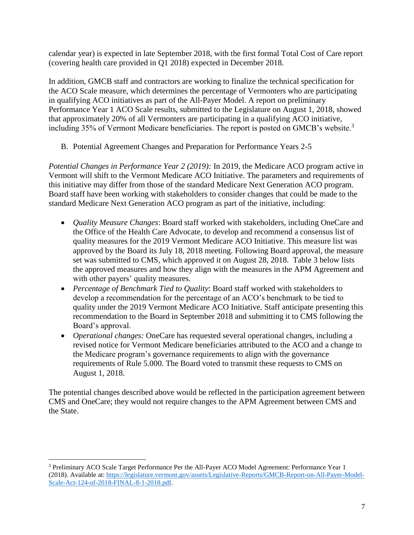calendar year) is expected in late September 2018, with the first formal Total Cost of Care report (covering health care provided in Q1 2018) expected in December 2018.

In addition, GMCB staff and contractors are working to finalize the technical specification for the ACO Scale measure, which determines the percentage of Vermonters who are participating in qualifying ACO initiatives as part of the All-Payer Model. A report on preliminary Performance Year 1 ACO Scale results, submitted to the Legislature on August 1, 2018, showed that approximately 20% of all Vermonters are participating in a qualifying ACO initiative, including 35% of Vermont Medicare beneficiaries. The report is posted on GMCB's website.<sup>3</sup>

B. Potential Agreement Changes and Preparation for Performance Years 2-5

*Potential Changes in Performance Year 2 (2019):* In 2019, the Medicare ACO program active in Vermont will shift to the Vermont Medicare ACO Initiative. The parameters and requirements of this initiative may differ from those of the standard Medicare Next Generation ACO program. Board staff have been working with stakeholders to consider changes that could be made to the standard Medicare Next Generation ACO program as part of the initiative, including:

- *Quality Measure Changes*: Board staff worked with stakeholders, including OneCare and the Office of the Health Care Advocate, to develop and recommend a consensus list of quality measures for the 2019 Vermont Medicare ACO Initiative. This measure list was approved by the Board its July 18, 2018 meeting. Following Board approval, the measure set was submitted to CMS, which approved it on August 28, 2018. Table 3 below lists the approved measures and how they align with the measures in the APM Agreement and with other payers' quality measures.
- *Percentage of Benchmark Tied to Quality*: Board staff worked with stakeholders to develop a recommendation for the percentage of an ACO's benchmark to be tied to quality under the 2019 Vermont Medicare ACO Initiative. Staff anticipate presenting this recommendation to the Board in September 2018 and submitting it to CMS following the Board's approval.
- *Operational changes:* OneCare has requested several operational changes, including a revised notice for Vermont Medicare beneficiaries attributed to the ACO and a change to the Medicare program's governance requirements to align with the governance requirements of Rule 5.000. The Board voted to transmit these requests to CMS on August 1, 2018.

The potential changes described above would be reflected in the participation agreement between CMS and OneCare; they would not require changes to the APM Agreement between CMS and the State.

 $\overline{\phantom{a}}$ 

<sup>3</sup> Preliminary ACO Scale Target Performance Per the All-Payer ACO Model Agreement: Performance Year 1 (2018). Available at: [https://legislature.vermont.gov/assets/Legislative-Reports/GMCB-Report-on-All-Payer-Model-](https://legislature.vermont.gov/assets/Legislative-Reports/GMCB-Report-on-All-Payer-Model-Scale-Act-124-of-2018-FINAL-8-1-2018.pdf)[Scale-Act-124-of-2018-FINAL-8-1-2018.pdf.](https://legislature.vermont.gov/assets/Legislative-Reports/GMCB-Report-on-All-Payer-Model-Scale-Act-124-of-2018-FINAL-8-1-2018.pdf)